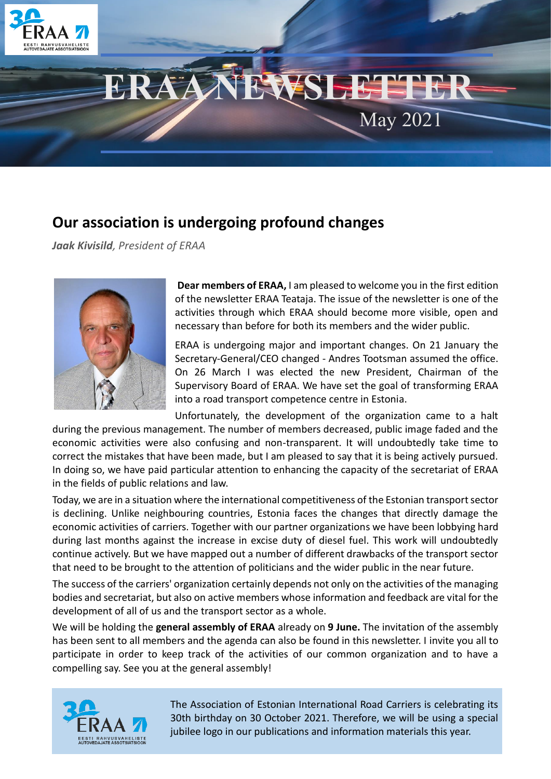

## **Our association is undergoing profound changes**

*Jaak Kivisild, President of ERAA*



**Dear members of ERAA,** I am pleased to welcome you in the first edition of the newsletter ERAA Teataja. The issue of the newsletter is one of the activities through which ERAA should become more visible, open and necessary than before for both its members and the wider public.

ERAA is undergoing major and important changes. On 21 January the Secretary-General/CEO changed - Andres Tootsman assumed the office. On 26 March I was elected the new President, Chairman of the Supervisory Board of ERAA. We have set the goal of transforming ERAA into a road transport competence centre in Estonia.

Unfortunately, the development of the organization came to a halt during the previous management. The number of members decreased, public image faded and the economic activities were also confusing and non-transparent. It will undoubtedly take time to correct the mistakes that have been made, but I am pleased to say that it is being actively pursued. In doing so, we have paid particular attention to enhancing the capacity of the secretariat of ERAA in the fields of public relations and law.

Today, we are in a situation where the international competitiveness of the Estonian transport sector is declining. Unlike neighbouring countries, Estonia faces the changes that directly damage the economic activities of carriers. Together with our partner organizations we have been lobbying hard during last months against the increase in excise duty of diesel fuel. This work will undoubtedly continue actively. But we have mapped out a number of different drawbacks of the transport sector that need to be brought to the attention of politicians and the wider public in the near future.

The success of the carriers' organization certainly depends not only on the activities of the managing bodies and secretariat, but also on active members whose information and feedback are vital for the development of all of us and the transport sector as a whole.

We will be holding the **general assembly of ERAA** already on **9 June.** The invitation of the assembly has been sent to all members and the agenda can also be found in this newsletter. I invite you all to participate in order to keep track of the activities of our common organization and to have a compelling say. See you at the general assembly!



The Association of Estonian International Road Carriers is celebrating its 30th birthday on 30 October 2021. Therefore, we will be using a special jubilee logo in our publications and information materials this year.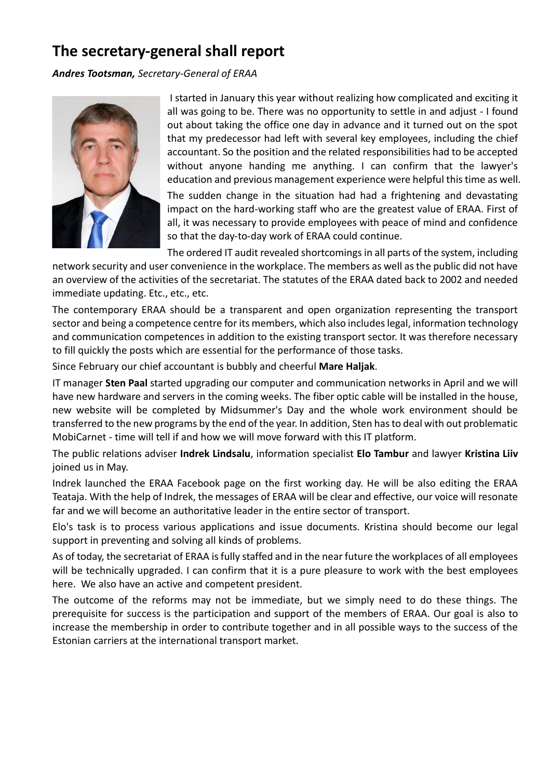# **The secretary-general shall report**

*Andres Tootsman, Secretary-General of ERAA*



I started in January this year without realizing how complicated and exciting it all was going to be. There was no opportunity to settle in and adjust - I found out about taking the office one day in advance and it turned out on the spot that my predecessor had left with several key employees, including the chief accountant. So the position and the related responsibilities had to be accepted without anyone handing me anything. I can confirm that the lawyer's education and previous management experience were helpful this time as well. The sudden change in the situation had had a frightening and devastating impact on the hard-working staff who are the greatest value of ERAA. First of all, it was necessary to provide employees with peace of mind and confidence so that the day-to-day work of ERAA could continue.

The ordered IT audit revealed shortcomings in all parts of the system, including

network security and user convenience in the workplace. The members as well as the public did not have an overview of the activities of the secretariat. The statutes of the ERAA dated back to 2002 and needed immediate updating. Etc., etc., etc.

The contemporary ERAA should be a transparent and open organization representing the transport sector and being a competence centre for its members, which also includes legal, information technology and communication competences in addition to the existing transport sector. It was therefore necessary to fill quickly the posts which are essential for the performance of those tasks.

Since February our chief accountant is bubbly and cheerful **Mare Haljak**.

IT manager **Sten Paal** started upgrading our computer and communication networks in April and we will have new hardware and servers in the coming weeks. The fiber optic cable will be installed in the house, new website will be completed by Midsummer's Day and the whole work environment should be transferred to the new programs by the end of the year. In addition, Sten has to deal with out problematic MobiCarnet - time will tell if and how we will move forward with this IT platform.

The public relations adviser **Indrek Lindsalu**, information specialist **Elo Tambur** and lawyer **Kristina Liiv** joined us in May.

Indrek launched the ERAA Facebook page on the first working day. He will be also editing the ERAA Teataja. With the help of Indrek, the messages of ERAA will be clear and effective, our voice will resonate far and we will become an authoritative leader in the entire sector of transport.

Elo's task is to process various applications and issue documents. Kristina should become our legal support in preventing and solving all kinds of problems.

As of today, the secretariat of ERAA is fully staffed and in the near future the workplaces of all employees will be technically upgraded. I can confirm that it is a pure pleasure to work with the best employees here. We also have an active and competent president.

The outcome of the reforms may not be immediate, but we simply need to do these things. The prerequisite for success is the participation and support of the members of ERAA. Our goal is also to increase the membership in order to contribute together and in all possible ways to the success of the Estonian carriers at the international transport market.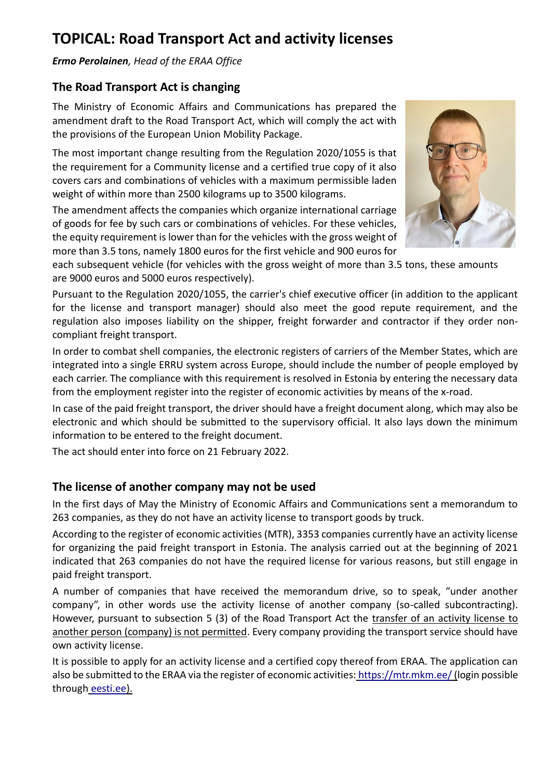## **TOPICAL: Road Transport Act and activity licenses**

*Ermo Perolainen, Head of the ERAA Office*

### **The Road Transport Act is changing**

The Ministry of Economic Affairs and Communications has prepared the amendment draft to the Road Transport Act, which will comply the act with the provisions of the European Union Mobility Package.

The most important change resulting from the Regulation 2020/1055 is that the requirement for a Community license and a certified true copy of it also covers cars and combinations of vehicles with a maximum permissible laden weight of within more than 2500 kilograms up to 3500 kilograms.

The amendment affects the companies which organize international carriage of goods for fee by such cars or combinations of vehicles. For these vehicles, the equity requirement is lower than for the vehicles with the gross weight of more than 3.5 tons, namely 1800 euros for the first vehicle and 900 euros for



each subsequent vehicle (for vehicles with the gross weight of more than 3.5 tons, these amounts are 9000 euros and 5000 euros respectively).

Pursuant to the Regulation 2020/1055, the carrier's chief executive officer (in addition to the applicant for the license and transport manager) should also meet the good repute requirement, and the regulation also imposes liability on the shipper, freight forwarder and contractor if they order noncompliant freight transport.

In order to combat shell companies, the electronic registers of carriers of the Member States, which are integrated into a single ERRU system across Europe, should include the number of people employed by each carrier. The compliance with this requirement is resolved in Estonia by entering the necessary data from the employment register into the register of economic activities by means of the x-road.

In case of the paid freight transport, the driver should have a freight document along, which may also be electronic and which should be submitted to the supervisory official. It also lays down the minimum information to be entered to the freight document.

The act should enter into force on 21 February 2022.

#### **The license of another company may not be used**

In the first days of May the Ministry of Economic Affairs and Communications sent a memorandum to 263 companies, as they do not have an activity license to transport goods by truck.

According to the register of economic activities (MTR), 3353 companies currently have an activity license for organizing the paid freight transport in Estonia. The analysis carried out at the beginning of 2021 indicated that 263 companies do not have the required license for various reasons, but still engage in paid freight transport.

A number of companies that have received the memorandum drive, so to speak, "under another company", in other words use the activity license of another company (so-called subcontracting). However, pursuant to subsection 5 (3) of the Road Transport Act the transfer of an activity license to another person (company) is not permitted. Every company providing the transport service should have own activity license.

It is possible to apply for an activity license and a certified copy thereof from ERAA. The application can also be submitted to the ERAA via the register of economic activities: [https://mtr.mkm.ee/\(](https://mtr.mkm.ee/)login possible through [eesti.ee\)](https://eesti.ee/).